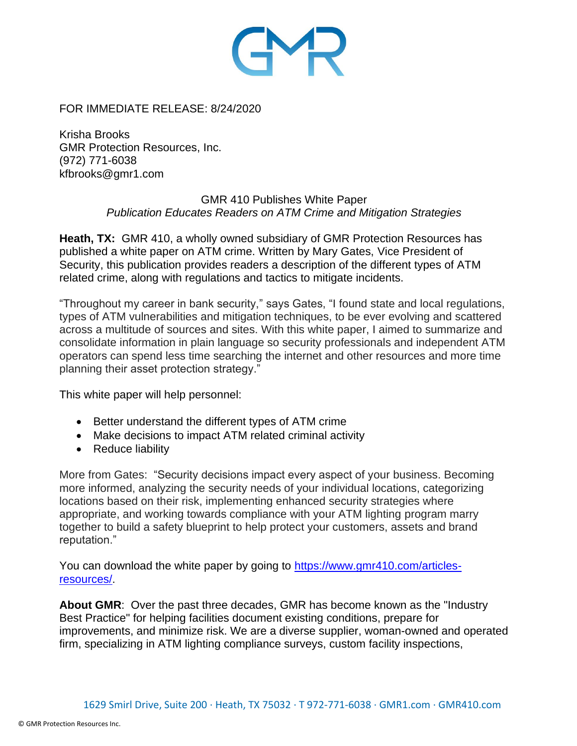

FOR IMMEDIATE RELEASE: 8/24/2020

Krisha Brooks GMR Protection Resources, Inc. (972) 771-6038 kfbrooks@gmr1.com

## GMR 410 Publishes White Paper *Publication Educates Readers on ATM Crime and Mitigation Strategies*

**Heath, TX:** GMR 410, a wholly owned subsidiary of GMR Protection Resources has published a white paper on ATM crime. Written by Mary Gates, Vice President of Security, this publication provides readers a description of the different types of ATM related crime, along with regulations and tactics to mitigate incidents.

"Throughout my career in bank security," says Gates, "I found state and local regulations, types of ATM vulnerabilities and mitigation techniques, to be ever evolving and scattered across a multitude of sources and sites. With this white paper, I aimed to summarize and consolidate information in plain language so security professionals and independent ATM operators can spend less time searching the internet and other resources and more time planning their asset protection strategy."

This white paper will help personnel:

- Better understand the different types of ATM crime
- Make decisions to impact ATM related criminal activity
- Reduce liability

More from Gates: "Security decisions impact every aspect of your business. Becoming more informed, analyzing the security needs of your individual locations, categorizing locations based on their risk, implementing enhanced security strategies where appropriate, and working towards compliance with your ATM lighting program marry together to build a safety blueprint to help protect your customers, assets and brand reputation."

You can download the white paper by going to [https://www.gmr410.com/articles](https://www.gmr410.com/articles-resources/)[resources/.](https://www.gmr410.com/articles-resources/)

**About GMR**: Over the past three decades, GMR has become known as the "Industry Best Practice" for helping facilities document existing conditions, prepare for improvements, and minimize risk. We are a diverse supplier, woman-owned and operated firm, specializing in ATM lighting compliance surveys, custom facility inspections,